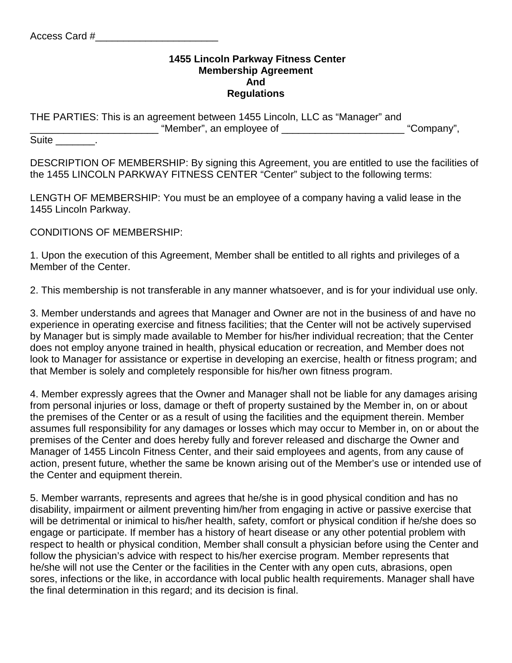## **1455 Lincoln Parkway Fitness Center Membership Agreement And Regulations**

THE PARTIES: This is an agreement between 1455 Lincoln, LLC as "Manager" and \_\_\_\_\_\_\_\_\_\_\_\_\_\_\_\_\_\_\_\_\_\_\_ "Member", an employee of \_\_\_\_\_\_\_\_\_\_\_\_\_\_\_\_\_\_\_\_\_\_ "Company",

Suite Fig. 2014

DESCRIPTION OF MEMBERSHIP: By signing this Agreement, you are entitled to use the facilities of the 1455 LINCOLN PARKWAY FITNESS CENTER "Center" subject to the following terms:

LENGTH OF MEMBERSHIP: You must be an employee of a company having a valid lease in the 1455 Lincoln Parkway.

CONDITIONS OF MEMBERSHIP:

1. Upon the execution of this Agreement, Member shall be entitled to all rights and privileges of a Member of the Center.

2. This membership is not transferable in any manner whatsoever, and is for your individual use only.

3. Member understands and agrees that Manager and Owner are not in the business of and have no experience in operating exercise and fitness facilities; that the Center will not be actively supervised by Manager but is simply made available to Member for his/her individual recreation; that the Center does not employ anyone trained in health, physical education or recreation, and Member does not look to Manager for assistance or expertise in developing an exercise, health or fitness program; and that Member is solely and completely responsible for his/her own fitness program.

4. Member expressly agrees that the Owner and Manager shall not be liable for any damages arising from personal injuries or loss, damage or theft of property sustained by the Member in, on or about the premises of the Center or as a result of using the facilities and the equipment therein. Member assumes full responsibility for any damages or losses which may occur to Member in, on or about the premises of the Center and does hereby fully and forever released and discharge the Owner and Manager of 1455 Lincoln Fitness Center, and their said employees and agents, from any cause of action, present future, whether the same be known arising out of the Member's use or intended use of the Center and equipment therein.

5. Member warrants, represents and agrees that he/she is in good physical condition and has no disability, impairment or ailment preventing him/her from engaging in active or passive exercise that will be detrimental or inimical to his/her health, safety, comfort or physical condition if he/she does so engage or participate. If member has a history of heart disease or any other potential problem with respect to health or physical condition, Member shall consult a physician before using the Center and follow the physician's advice with respect to his/her exercise program. Member represents that he/she will not use the Center or the facilities in the Center with any open cuts, abrasions, open sores, infections or the like, in accordance with local public health requirements. Manager shall have the final determination in this regard; and its decision is final.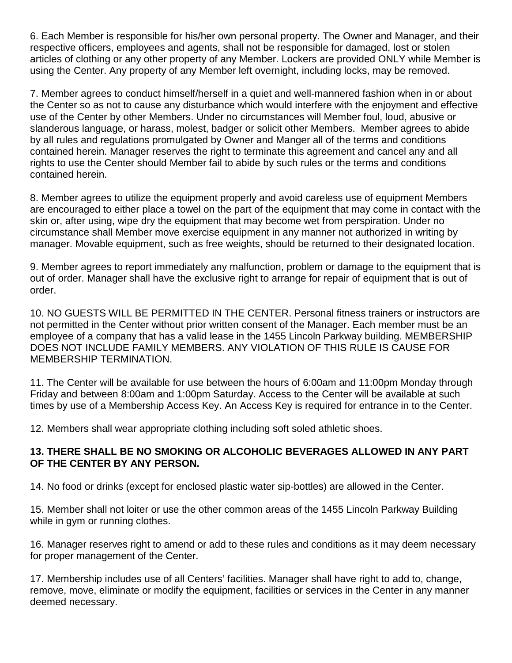6. Each Member is responsible for his/her own personal property. The Owner and Manager, and their respective officers, employees and agents, shall not be responsible for damaged, lost or stolen articles of clothing or any other property of any Member. Lockers are provided ONLY while Member is using the Center. Any property of any Member left overnight, including locks, may be removed.

7. Member agrees to conduct himself/herself in a quiet and well-mannered fashion when in or about the Center so as not to cause any disturbance which would interfere with the enjoyment and effective use of the Center by other Members. Under no circumstances will Member foul, loud, abusive or slanderous language, or harass, molest, badger or solicit other Members. Member agrees to abide by all rules and regulations promulgated by Owner and Manger all of the terms and conditions contained herein. Manager reserves the right to terminate this agreement and cancel any and all rights to use the Center should Member fail to abide by such rules or the terms and conditions contained herein.

8. Member agrees to utilize the equipment properly and avoid careless use of equipment Members are encouraged to either place a towel on the part of the equipment that may come in contact with the skin or, after using, wipe dry the equipment that may become wet from perspiration. Under no circumstance shall Member move exercise equipment in any manner not authorized in writing by manager. Movable equipment, such as free weights, should be returned to their designated location.

9. Member agrees to report immediately any malfunction, problem or damage to the equipment that is out of order. Manager shall have the exclusive right to arrange for repair of equipment that is out of order.

10. NO GUESTS WILL BE PERMITTED IN THE CENTER. Personal fitness trainers or instructors are not permitted in the Center without prior written consent of the Manager. Each member must be an employee of a company that has a valid lease in the 1455 Lincoln Parkway building. MEMBERSHIP DOES NOT INCLUDE FAMILY MEMBERS. ANY VIOLATION OF THIS RULE IS CAUSE FOR MEMBERSHIP TERMINATION.

11. The Center will be available for use between the hours of 6:00am and 11:00pm Monday through Friday and between 8:00am and 1:00pm Saturday. Access to the Center will be available at such times by use of a Membership Access Key. An Access Key is required for entrance in to the Center.

12. Members shall wear appropriate clothing including soft soled athletic shoes.

## **13. THERE SHALL BE NO SMOKING OR ALCOHOLIC BEVERAGES ALLOWED IN ANY PART OF THE CENTER BY ANY PERSON.**

14. No food or drinks (except for enclosed plastic water sip-bottles) are allowed in the Center.

15. Member shall not loiter or use the other common areas of the 1455 Lincoln Parkway Building while in gym or running clothes.

16. Manager reserves right to amend or add to these rules and conditions as it may deem necessary for proper management of the Center.

17. Membership includes use of all Centers' facilities. Manager shall have right to add to, change, remove, move, eliminate or modify the equipment, facilities or services in the Center in any manner deemed necessary.